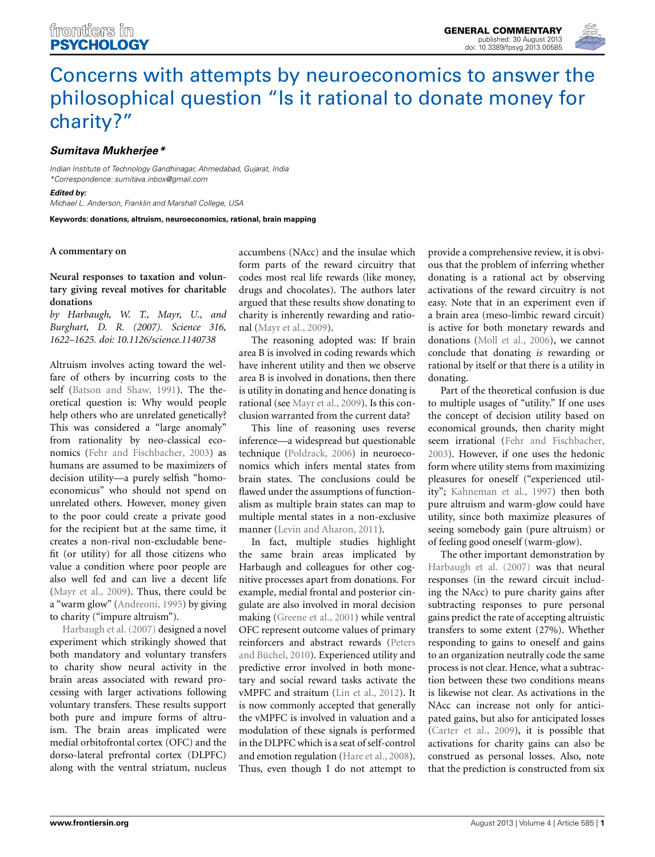

# Concerns with attempts by neuroeconomics to answer the philosophical question "Is it rational to donate money for charity?"

## **Sumitava Mukherjee\***

*Indian Institute of Technology Gandhinagar, Ahmedabad, Gujarat, India \*Correspondence: sumitava.inbox@gmail.com*

**Edited by:**

*Michael L. Anderson, Franklin and Marshall College, USA*

**Keywords: donations, altruism, neuroeconomics, rational, brain mapping**

#### **A commentary on**

**Neural responses to taxation and voluntary giving reveal motives for charitable donations**

*by Harbaugh, W. T., Mayr, U., and Burghart, D. R. (2007). Science 316, 1622–1625. doi: 10.1126/science.1140738*

Altruism involves acting toward the welfare of others by incurring costs to the self (Batson and Shaw, 1991). The theoretical question is: Why would people help others who are unrelated genetically? This was considered a "large anomaly" from rationality by neo-classical economics (Fehr and Fischbacher, 2003) as humans are assumed to be maximizers of decision utility—a purely selfish "homoeconomicus" who should not spend on unrelated others. However, money given to the poor could create a private good for the recipient but at the same time, it creates a non-rival non-excludable benefit (or utility) for all those citizens who value a condition where poor people are also well fed and can live a decent life (Mayr et al., 2009). Thus, there could be a "warm glow" (Andreoni, 1995) by giving to charity ("impure altruism").

Harbaugh et al. (2007) designed a novel experiment which strikingly showed that both mandatory and voluntary transfers to charity show neural activity in the brain areas associated with reward processing with larger activations following voluntary transfers. These results support both pure and impure forms of altruism. The brain areas implicated were medial orbitofrontal cortex (OFC) and the dorso-lateral prefrontal cortex (DLPFC) along with the ventral striatum, nucleus

accumbens (NAcc) and the insulae which form parts of the reward circuitry that codes most real life rewards (like money, drugs and chocolates). The authors later argued that these results show donating to charity is inherently rewarding and rational (Mayr et al., 2009).

The reasoning adopted was: If brain area B is involved in coding rewards which have inherent utility and then we observe area B is involved in donations, then there is utility in donating and hence donating is rational (see Mayr et al., 2009). Is this conclusion warranted from the current data?

This line of reasoning uses reverse inference—a widespread but questionable technique (Poldrack, 2006) in neuroeconomics which infers mental states from brain states. The conclusions could be flawed under the assumptions of functionalism as multiple brain states can map to multiple mental states in a non-exclusive manner (Levin and Aharon, 2011).

In fact, multiple studies highlight the same brain areas implicated by Harbaugh and colleagues for other cognitive processes apart from donations. For example, medial frontal and posterior cingulate are also involved in moral decision making (Greene et al., 2001) while ventral OFC represent outcome values of primary reinforcers and abstract rewards (Peters and Büchel, 2010). Experienced utility and predictive error involved in both monetary and social reward tasks activate the vMPFC and straitum (Lin et al., 2012). It is now commonly accepted that generally the vMPFC is involved in valuation and a modulation of these signals is performed in the DLPFC which is a seat of self-control and emotion regulation (Hare et al., 2008). Thus, even though I do not attempt to

provide a comprehensive review, it is obvious that the problem of inferring whether donating is a rational act by observing activations of the reward circuitry is not easy. Note that in an experiment even if a brain area (meso-limbic reward circuit) is active for both monetary rewards and donations (Moll et al., 2006), we cannot conclude that donating *is* rewarding or rational by itself or that there is a utility in donating.

Part of the theoretical confusion is due to multiple usages of "utility." If one uses the concept of decision utility based on economical grounds, then charity might seem irrational (Fehr and Fischbacher, 2003). However, if one uses the hedonic form where utility stems from maximizing pleasures for oneself ("experienced utility"; Kahneman et al., 1997) then both pure altruism and warm-glow could have utility, since both maximize pleasures of seeing somebody gain (pure altruism) or of feeling good oneself (warm-glow).

The other important demonstration by Harbaugh et al. (2007) was that neural responses (in the reward circuit including the NAcc) to pure charity gains after subtracting responses to pure personal gains predict the rate of accepting altruistic transfers to some extent (27%). Whether responding to gains to oneself and gains to an organization neutrally code the same process is not clear. Hence, what a subtraction between these two conditions means is likewise not clear. As activations in the NAcc can increase not only for anticipated gains, but also for anticipated losses (Carter et al., 2009), it is possible that activations for charity gains can also be construed as personal losses. Also, note that the prediction is constructed from six